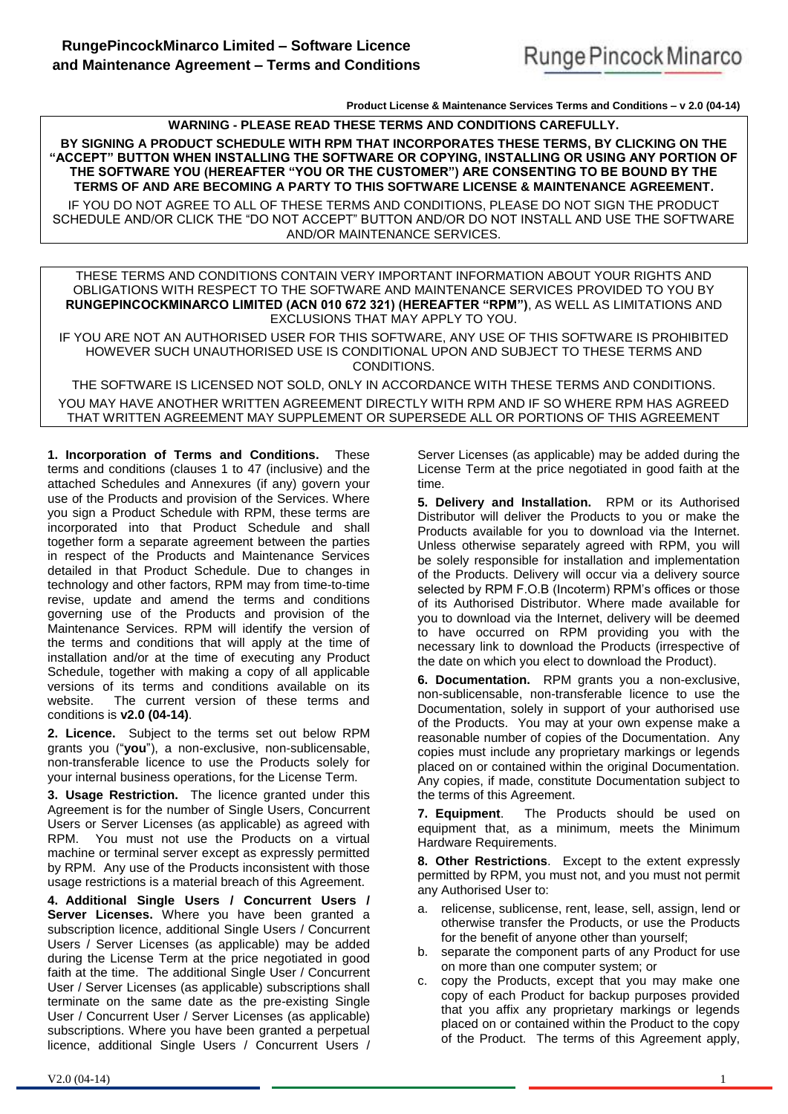**Product License & Maintenance Services Terms and Conditions – v 2.0 (04-14)**

#### **WARNING - PLEASE READ THESE TERMS AND CONDITIONS CAREFULLY.**

**BY SIGNING A PRODUCT SCHEDULE WITH RPM THAT INCORPORATES THESE TERMS, BY CLICKING ON THE "ACCEPT" BUTTON WHEN INSTALLING THE SOFTWARE OR COPYING, INSTALLING OR USING ANY PORTION OF THE SOFTWARE YOU (HEREAFTER "YOU OR THE CUSTOMER") ARE CONSENTING TO BE BOUND BY THE TERMS OF AND ARE BECOMING A PARTY TO THIS SOFTWARE LICENSE & MAINTENANCE AGREEMENT.**

IF YOU DO NOT AGREE TO ALL OF THESE TERMS AND CONDITIONS, PLEASE DO NOT SIGN THE PRODUCT SCHEDULE AND/OR CLICK THE "DO NOT ACCEPT" BUTTON AND/OR DO NOT INSTALL AND USE THE SOFTWARE AND/OR MAINTENANCE SERVICES.

THESE TERMS AND CONDITIONS CONTAIN VERY IMPORTANT INFORMATION ABOUT YOUR RIGHTS AND OBLIGATIONS WITH RESPECT TO THE SOFTWARE AND MAINTENANCE SERVICES PROVIDED TO YOU BY **RUNGEPINCOCKMINARCO LIMITED (ACN 010 672 321) (HEREAFTER "RPM")**, AS WELL AS LIMITATIONS AND EXCLUSIONS THAT MAY APPLY TO YOU.

IF YOU ARE NOT AN AUTHORISED USER FOR THIS SOFTWARE, ANY USE OF THIS SOFTWARE IS PROHIBITED HOWEVER SUCH UNAUTHORISED USE IS CONDITIONAL UPON AND SUBJECT TO THESE TERMS AND CONDITIONS.

THE SOFTWARE IS LICENSED NOT SOLD, ONLY IN ACCORDANCE WITH THESE TERMS AND CONDITIONS. YOU MAY HAVE ANOTHER WRITTEN AGREEMENT DIRECTLY WITH RPM AND IF SO WHERE RPM HAS AGREED THAT WRITTEN AGREEMENT MAY SUPPLEMENT OR SUPERSEDE ALL OR PORTIONS OF THIS AGREEMENT

<span id="page-0-0"></span>**1. Incorporation of Terms and Conditions.** These terms and conditions (clauses 1 to [47](#page-5-0) (inclusive) and the attached Schedules and Annexures (if any) govern your use of the Products and provision of the Services. Where you sign a Product Schedule with RPM, these terms are incorporated into that Product Schedule and shall together form a separate agreement between the parties in respect of the Products and Maintenance Services detailed in that Product Schedule. Due to changes in technology and other factors, RPM may from time-to-time revise, update and amend the terms and conditions governing use of the Products and provision of the Maintenance Services. RPM will identify the version of the terms and conditions that will apply at the time of installation and/or at the time of executing any Product Schedule, together with making a copy of all applicable versions of its terms and conditions available on its website. The current version of these terms and conditions is **v2.0 (04-14)**.

**2. Licence.** Subject to the terms set out below RPM grants you ("**you**"), a non-exclusive, non-sublicensable, non-transferable licence to use the Products solely for your internal business operations, for the License Term.

**3. Usage Restriction.** The licence granted under this Agreement is for the number of Single Users, Concurrent Users or Server Licenses (as applicable) as agreed with RPM. You must not use the Products on a virtual machine or terminal server except as expressly permitted by RPM. Any use of the Products inconsistent with those usage restrictions is a material breach of this Agreement.

**4. Additional Single Users / Concurrent Users / Server Licenses.** Where you have been granted a subscription licence, additional Single Users / Concurrent Users / Server Licenses (as applicable) may be added during the License Term at the price negotiated in good faith at the time. The additional Single User / Concurrent User / Server Licenses (as applicable) subscriptions shall terminate on the same date as the pre-existing Single User / Concurrent User / Server Licenses (as applicable) subscriptions. Where you have been granted a perpetual licence, additional Single Users / Concurrent Users /

Server Licenses (as applicable) may be added during the License Term at the price negotiated in good faith at the time.

**5. Delivery and Installation.** RPM or its Authorised Distributor will deliver the Products to you or make the Products available for you to download via the Internet. Unless otherwise separately agreed with RPM, you will be solely responsible for installation and implementation of the Products. Delivery will occur via a delivery source selected by RPM F.O.B (Incoterm) RPM's offices or those of its Authorised Distributor. Where made available for you to download via the Internet, delivery will be deemed to have occurred on RPM providing you with the necessary link to download the Products (irrespective of the date on which you elect to download the Product).

**6. Documentation.** RPM grants you a non-exclusive, non-sublicensable, non-transferable licence to use the Documentation, solely in support of your authorised use of the Products. You may at your own expense make a reasonable number of copies of the Documentation. Any copies must include any proprietary markings or legends placed on or contained within the original Documentation. Any copies, if made, constitute Documentation subject to the terms of this Agreement.

**7. Equipment**. The Products should be used on equipment that, as a minimum, meets the Minimum Hardware Requirements.

**8. Other Restrictions**. Except to the extent expressly permitted by RPM, you must not, and you must not permit any Authorised User to:

- a. relicense, sublicense, rent, lease, sell, assign, lend or otherwise transfer the Products, or use the Products for the benefit of anyone other than yourself;
- b. separate the component parts of any Product for use on more than one computer system; or
- c. copy the Products, except that you may make one copy of each Product for backup purposes provided that you affix any proprietary markings or legends placed on or contained within the Product to the copy of the Product. The terms of this Agreement apply,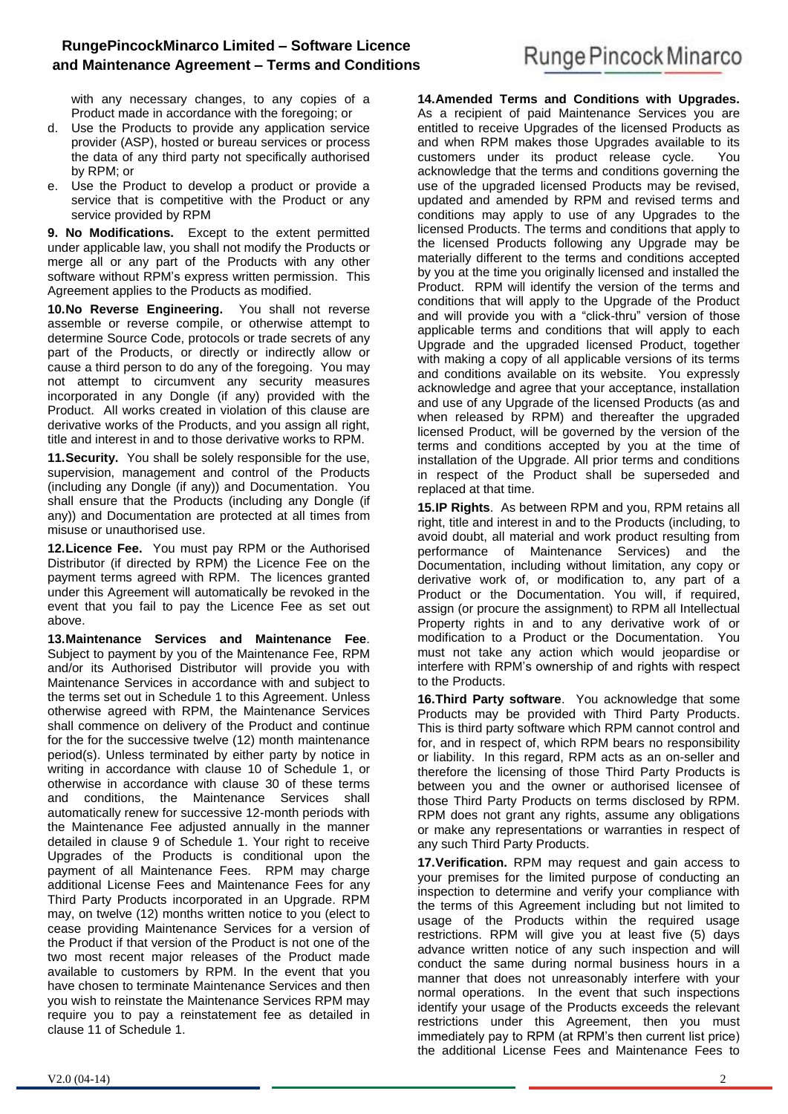with any necessary changes, to any copies of a Product made in accordance with the foregoing; or

- d. Use the Products to provide any application service provider (ASP), hosted or bureau services or process the data of any third party not specifically authorised by RPM; or
- e. Use the Product to develop a product or provide a service that is competitive with the Product or any service provided by RPM

<span id="page-1-0"></span>**9. No Modifications.** Except to the extent permitted under applicable law, you shall not modify the Products or merge all or any part of the Products with any other software without RPM's express written permission. This Agreement applies to the Products as modified.

**10.No Reverse Engineering.** You shall not reverse assemble or reverse compile, or otherwise attempt to determine Source Code, protocols or trade secrets of any part of the Products, or directly or indirectly allow or cause a third person to do any of the foregoing. You may not attempt to circumvent any security measures incorporated in any Dongle (if any) provided with the Product. All works created in violation of this clause are derivative works of the Products, and you assign all right, title and interest in and to those derivative works to RPM.

**11.Security.** You shall be solely responsible for the use, supervision, management and control of the Products (including any Dongle (if any)) and Documentation. You shall ensure that the Products (including any Dongle (if any)) and Documentation are protected at all times from misuse or unauthorised use.

**12.Licence Fee.** You must pay RPM or the Authorised Distributor (if directed by RPM) the Licence Fee on the payment terms agreed with RPM. The licences granted under this Agreement will automatically be revoked in the event that you fail to pay the Licence Fee as set out above.

**13.Maintenance Services and Maintenance Fee**. Subject to payment by you of the Maintenance Fee, RPM and/or its Authorised Distributor will provide you with Maintenance Services in accordance with and subject to the terms set out in Schedule 1 to this Agreement. Unless otherwise agreed with RPM, the Maintenance Services shall commence on delivery of the Product and continue for the for the successive twelve (12) month maintenance period(s). Unless terminated by either party by notice in writing in accordance with clause 10 of Schedule 1, or otherwise in accordance with clause [30](#page-3-0) of these terms and conditions, the Maintenance Services shall automatically renew for successive 12-month periods with the Maintenance Fee adjusted annually in the manner detailed in clause 9 of Schedule 1. Your right to receive Upgrades of the Products is conditional upon the payment of all Maintenance Fees. RPM may charge additional License Fees and Maintenance Fees for any Third Party Products incorporated in an Upgrade. RPM may, on twelve (12) months written notice to you (elect to cease providing Maintenance Services for a version of the Product if that version of the Product is not one of the two most recent major releases of the Product made available to customers by RPM. In the event that you have chosen to terminate Maintenance Services and then you wish to reinstate the Maintenance Services RPM may require you to pay a reinstatement fee as detailed in clause 11 of Schedule 1.

**14.Amended Terms and Conditions with Upgrades.**  As a recipient of paid Maintenance Services you are entitled to receive Upgrades of the licensed Products as and when RPM makes those Upgrades available to its customers under its product release cycle. You acknowledge that the terms and conditions governing the use of the upgraded licensed Products may be revised, updated and amended by RPM and revised terms and conditions may apply to use of any Upgrades to the licensed Products. The terms and conditions that apply to the licensed Products following any Upgrade may be materially different to the terms and conditions accepted by you at the time you originally licensed and installed the Product. RPM will identify the version of the terms and conditions that will apply to the Upgrade of the Product and will provide you with a "click-thru" version of those applicable terms and conditions that will apply to each Upgrade and the upgraded licensed Product, together with making a copy of all applicable versions of its terms and conditions available on its website. You expressly acknowledge and agree that your acceptance, installation and use of any Upgrade of the licensed Products (as and when released by RPM) and thereafter the upgraded licensed Product, will be governed by the version of the terms and conditions accepted by you at the time of installation of the Upgrade. All prior terms and conditions in respect of the Product shall be superseded and replaced at that time.

**15.IP Rights**. As between RPM and you, RPM retains all right, title and interest in and to the Products (including, to avoid doubt, all material and work product resulting from performance of Maintenance Services) and the Documentation, including without limitation, any copy or derivative work of, or modification to, any part of a Product or the Documentation. You will, if required, assign (or procure the assignment) to RPM all Intellectual Property rights in and to any derivative work of or modification to a Product or the Documentation. You must not take any action which would jeopardise or interfere with RPM's ownership of and rights with respect to the Products.

**16.Third Party software**.You acknowledge that some Products may be provided with Third Party Products. This is third party software which RPM cannot control and for, and in respect of, which RPM bears no responsibility or liability. In this regard, RPM acts as an on-seller and therefore the licensing of those Third Party Products is between you and the owner or authorised licensee of those Third Party Products on terms disclosed by RPM. RPM does not grant any rights, assume any obligations or make any representations or warranties in respect of any such Third Party Products.

**17.Verification.** RPM may request and gain access to your premises for the limited purpose of conducting an inspection to determine and verify your compliance with the terms of this Agreement including but not limited to usage of the Products within the required usage restrictions. RPM will give you at least five (5) days advance written notice of any such inspection and will conduct the same during normal business hours in a manner that does not unreasonably interfere with your normal operations. In the event that such inspections identify your usage of the Products exceeds the relevant restrictions under this Agreement, then you must immediately pay to RPM (at RPM's then current list price) the additional License Fees and Maintenance Fees to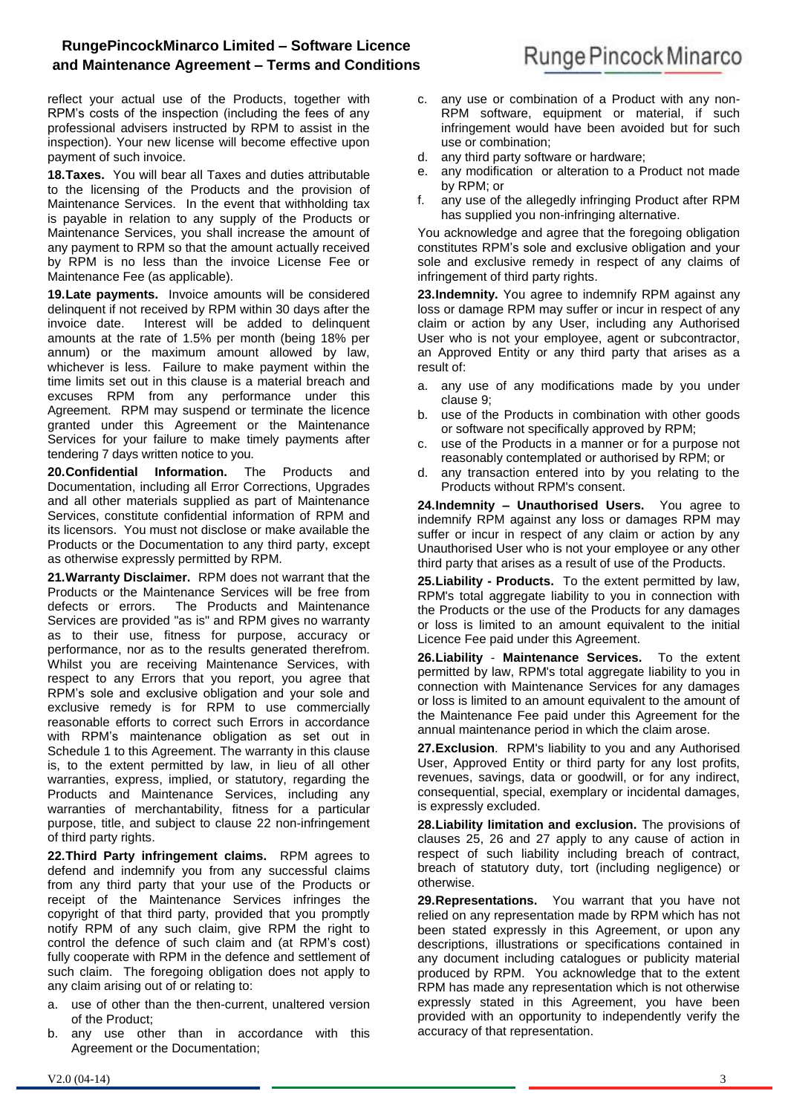reflect your actual use of the Products, together with RPM's costs of the inspection (including the fees of any professional advisers instructed by RPM to assist in the inspection). Your new license will become effective upon payment of such invoice.

**18.Taxes.** You will bear all Taxes and duties attributable to the licensing of the Products and the provision of Maintenance Services. In the event that withholding tax is payable in relation to any supply of the Products or Maintenance Services, you shall increase the amount of any payment to RPM so that the amount actually received by RPM is no less than the invoice License Fee or Maintenance Fee (as applicable).

**19.Late payments.** Invoice amounts will be considered delinquent if not received by RPM within 30 days after the invoice date. Interest will be added to delinquent amounts at the rate of 1.5% per month (being 18% per annum) or the maximum amount allowed by law, whichever is less. Failure to make payment within the time limits set out in this clause is a material breach and excuses RPM from any performance under this Agreement. RPM may suspend or terminate the licence granted under this Agreement or the Maintenance Services for your failure to make timely payments after tendering 7 days written notice to you.

**20.Confidential Information.** The Products and Documentation, including all Error Corrections, Upgrades and all other materials supplied as part of Maintenance Services, constitute confidential information of RPM and its licensors. You must not disclose or make available the Products or the Documentation to any third party, except as otherwise expressly permitted by RPM.

**21.Warranty Disclaimer.** RPM does not warrant that the Products or the Maintenance Services will be free from defects or errors. The Products and Maintenance Services are provided "as is" and RPM gives no warranty as to their use, fitness for purpose, accuracy or performance, nor as to the results generated therefrom. Whilst you are receiving Maintenance Services, with respect to any Errors that you report, you agree that RPM's sole and exclusive obligation and your sole and exclusive remedy is for RPM to use commercially reasonable efforts to correct such Errors in accordance with RPM's maintenance obligation as set out in Schedule 1 to this Agreement. The warranty in this clause is, to the extent permitted by law, in lieu of all other warranties, express, implied, or statutory, regarding the Products and Maintenance Services, including any warranties of merchantability, fitness for a particular purpose, title, and subject to clause [22](#page-2-0) non-infringement of third party rights.

<span id="page-2-0"></span>**22.Third Party infringement claims.** RPM agrees to defend and indemnify you from any successful claims from any third party that your use of the Products or receipt of the Maintenance Services infringes the copyright of that third party, provided that you promptly notify RPM of any such claim, give RPM the right to control the defence of such claim and (at RPM's cost) fully cooperate with RPM in the defence and settlement of such claim. The foregoing obligation does not apply to any claim arising out of or relating to:

- a. use of other than the then-current, unaltered version of the Product;
- b. any use other than in accordance with this Agreement or the Documentation;
- c. any use or combination of a Product with any non-RPM software, equipment or material, if such infringement would have been avoided but for such use or combination;
- d. any third party software or hardware;
- e. any modification or alteration to a Product not made by RPM; or
- any use of the allegedly infringing Product after RPM has supplied you non-infringing alternative.

You acknowledge and agree that the foregoing obligation constitutes RPM's sole and exclusive obligation and your sole and exclusive remedy in respect of any claims of infringement of third party rights.

**23.Indemnity.** You agree to indemnify RPM against any loss or damage RPM may suffer or incur in respect of any claim or action by any User, including any Authorised User who is not your employee, agent or subcontractor, an Approved Entity or any third party that arises as a result of:

- a. any use of any modifications made by you under claus[e 9;](#page-1-0)
- b. use of the Products in combination with other goods or software not specifically approved by RPM;
- c. use of the Products in a manner or for a purpose not reasonably contemplated or authorised by RPM; or
- d. any transaction entered into by you relating to the Products without RPM's consent.

**24.Indemnity – Unauthorised Users.** You agree to indemnify RPM against any loss or damages RPM may suffer or incur in respect of any claim or action by any Unauthorised User who is not your employee or any other third party that arises as a result of use of the Products.

**25.Liability - Products.** To the extent permitted by law, RPM's total aggregate liability to you in connection with the Products or the use of the Products for any damages or loss is limited to an amount equivalent to the initial Licence Fee paid under this Agreement.

**26.Liability** - **Maintenance Services.** To the extent permitted by law, RPM's total aggregate liability to you in connection with Maintenance Services for any damages or loss is limited to an amount equivalent to the amount of the Maintenance Fee paid under this Agreement for the annual maintenance period in which the claim arose.

**27.Exclusion**. RPM's liability to you and any Authorised User, Approved Entity or third party for any lost profits, revenues, savings, data or goodwill, or for any indirect, consequential, special, exemplary or incidental damages, is expressly excluded.

**28.Liability limitation and exclusion.** The provisions of clauses 25, 26 and 27 apply to any cause of action in respect of such liability including breach of contract, breach of statutory duty, tort (including negligence) or otherwise.

**29.Representations.** You warrant that you have not relied on any representation made by RPM which has not been stated expressly in this Agreement, or upon any descriptions, illustrations or specifications contained in any document including catalogues or publicity material produced by RPM. You acknowledge that to the extent RPM has made any representation which is not otherwise expressly stated in this Agreement, you have been provided with an opportunity to independently verify the accuracy of that representation.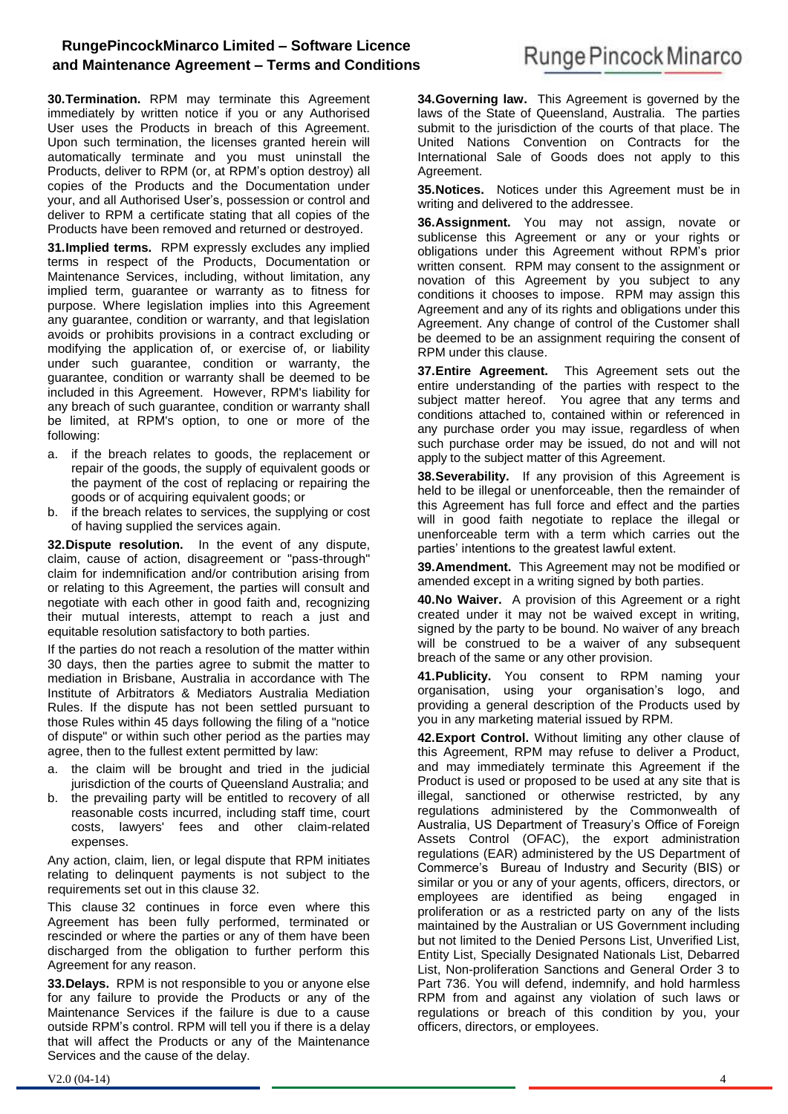<span id="page-3-0"></span>**30.Termination.** RPM may terminate this Agreement immediately by written notice if you or any Authorised User uses the Products in breach of this Agreement. Upon such termination, the licenses granted herein will automatically terminate and you must uninstall the Products, deliver to RPM (or, at RPM's option destroy) all copies of the Products and the Documentation under your, and all Authorised User's, possession or control and deliver to RPM a certificate stating that all copies of the Products have been removed and returned or destroyed.

**31.Implied terms.** RPM expressly excludes any implied terms in respect of the Products, Documentation or Maintenance Services, including, without limitation, any implied term, guarantee or warranty as to fitness for purpose. Where legislation implies into this Agreement any guarantee, condition or warranty, and that legislation avoids or prohibits provisions in a contract excluding or modifying the application of, or exercise of, or liability under such guarantee, condition or warranty, the guarantee, condition or warranty shall be deemed to be included in this Agreement. However, RPM's liability for any breach of such guarantee, condition or warranty shall be limited, at RPM's option, to one or more of the following:

- a. if the breach relates to goods, the replacement or repair of the goods, the supply of equivalent goods or the payment of the cost of replacing or repairing the goods or of acquiring equivalent goods; or
- b. if the breach relates to services, the supplying or cost of having supplied the services again.

<span id="page-3-1"></span>**32.Dispute resolution.** In the event of any dispute, claim, cause of action, disagreement or "pass-through" claim for indemnification and/or contribution arising from or relating to this Agreement, the parties will consult and negotiate with each other in good faith and, recognizing their mutual interests, attempt to reach a just and equitable resolution satisfactory to both parties.

If the parties do not reach a resolution of the matter within 30 days, then the parties agree to submit the matter to mediation in Brisbane, Australia in accordance with The Institute of Arbitrators & Mediators Australia Mediation Rules. If the dispute has not been settled pursuant to those Rules within 45 days following the filing of a "notice of dispute" or within such other period as the parties may agree, then to the fullest extent permitted by law:

- a. the claim will be brought and tried in the judicial jurisdiction of the courts of Queensland Australia; and
- b. the prevailing party will be entitled to recovery of all reasonable costs incurred, including staff time, court costs, lawyers' fees and other claim-related expenses.

Any action, claim, lien, or legal dispute that RPM initiates relating to delinquent payments is not subject to the requirements set out in this clause [32.](#page-3-1)

This clause [32](#page-3-1) continues in force even where this Agreement has been fully performed, terminated or rescinded or where the parties or any of them have been discharged from the obligation to further perform this Agreement for any reason.

**33.Delays.** RPM is not responsible to you or anyone else for any failure to provide the Products or any of the Maintenance Services if the failure is due to a cause outside RPM's control. RPM will tell you if there is a delay that will affect the Products or any of the Maintenance Services and the cause of the delay.

**34.Governing law.** This Agreement is governed by the laws of the State of Queensland, Australia. The parties submit to the jurisdiction of the courts of that place. The United Nations Convention on Contracts for the International Sale of Goods does not apply to this Agreement.

**35.Notices.** Notices under this Agreement must be in writing and delivered to the addressee.

**36.Assignment.** You may not assign, novate or sublicense this Agreement or any or your rights or obligations under this Agreement without RPM's prior written consent. RPM may consent to the assignment or novation of this Agreement by you subject to any conditions it chooses to impose. RPM may assign this Agreement and any of its rights and obligations under this Agreement. Any change of control of the Customer shall be deemed to be an assignment requiring the consent of RPM under this clause.

**37.Entire Agreement.** This Agreement sets out the entire understanding of the parties with respect to the subject matter hereof. You agree that any terms and conditions attached to, contained within or referenced in any purchase order you may issue, regardless of when such purchase order may be issued, do not and will not apply to the subject matter of this Agreement.

**38.Severability.** If any provision of this Agreement is held to be illegal or unenforceable, then the remainder of this Agreement has full force and effect and the parties will in good faith negotiate to replace the illegal or unenforceable term with a term which carries out the parties' intentions to the greatest lawful extent.

**39.Amendment.** This Agreement may not be modified or amended except in a writing signed by both parties.

**40.No Waiver.** A provision of this Agreement or a right created under it may not be waived except in writing, signed by the party to be bound. No waiver of any breach will be construed to be a waiver of any subsequent breach of the same or any other provision.

**41.Publicity.** You consent to RPM naming your organisation, using your organisation's logo, and providing a general description of the Products used by you in any marketing material issued by RPM.

**42.Export Control.** Without limiting any other clause of this Agreement, RPM may refuse to deliver a Product, and may immediately terminate this Agreement if the Product is used or proposed to be used at any site that is illegal, sanctioned or otherwise restricted, by any regulations administered by the Commonwealth of Australia, US Department of Treasury's Office of Foreign Assets Control (OFAC), the export administration regulations (EAR) administered by the US Department of Commerce's Bureau of Industry and Security (BIS) or similar or you or any of your agents, officers, directors, or employees are identified as being engaged in proliferation or as a restricted party on any of the lists maintained by the Australian or US Government including but not limited to the Denied Persons List, Unverified List, Entity List, Specially Designated Nationals List, Debarred List, Non-proliferation Sanctions and General Order 3 to Part 736. You will defend, indemnify, and hold harmless RPM from and against any violation of such laws or regulations or breach of this condition by you, your officers, directors, or employees.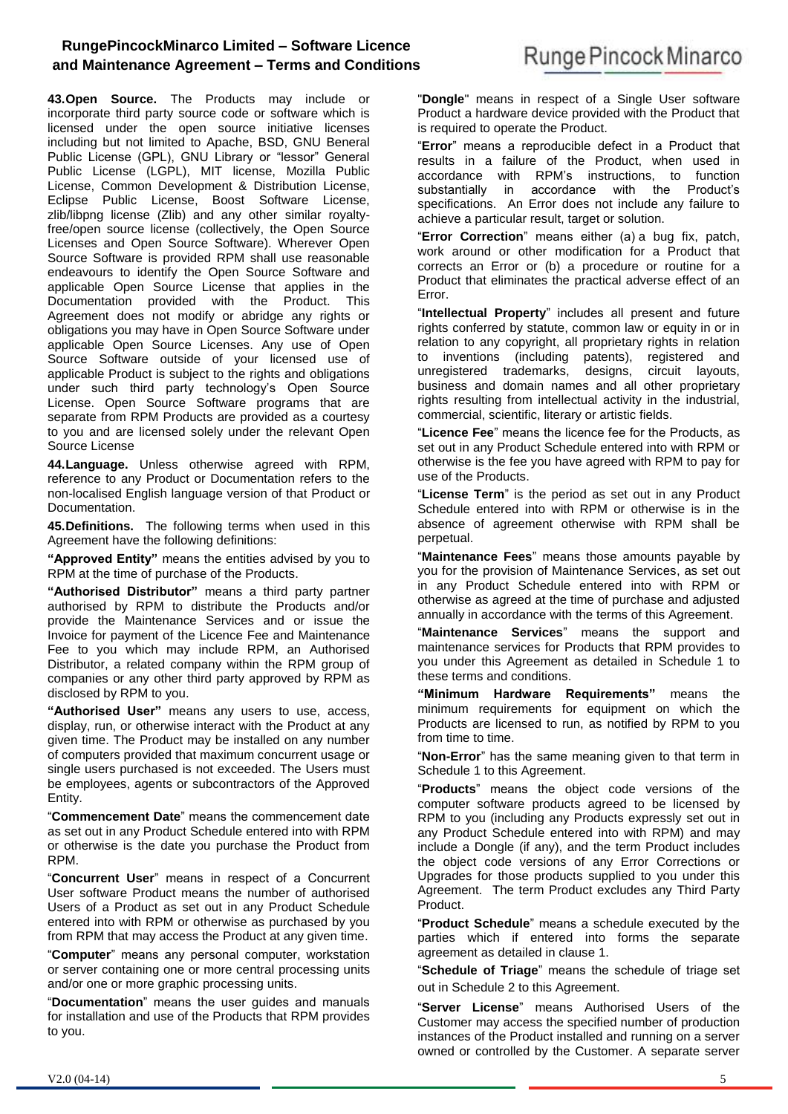**43.Open Source.** The Products may include or incorporate third party source code or software which is licensed under the open source initiative licenses including but not limited to Apache, BSD, GNU Beneral Public License (GPL), GNU Library or "lessor" General Public License (LGPL), MIT license, Mozilla Public License, Common Development & Distribution License, Eclipse Public License, Boost Software License, zlib/libpng license (Zlib) and any other similar royaltyfree/open source license (collectively, the Open Source Licenses and Open Source Software). Wherever Open Source Software is provided RPM shall use reasonable endeavours to identify the Open Source Software and applicable Open Source License that applies in the Documentation provided with the Product This Documentation provided with the Product. Agreement does not modify or abridge any rights or obligations you may have in Open Source Software under applicable Open Source Licenses. Any use of Open Source Software outside of your licensed use of applicable Product is subject to the rights and obligations under such third party technology's Open Source License. Open Source Software programs that are separate from RPM Products are provided as a courtesy to you and are licensed solely under the relevant Open Source License

**44.Language.** Unless otherwise agreed with RPM, reference to any Product or Documentation refers to the non-localised English language version of that Product or Documentation.

**45.Definitions.** The following terms when used in this Agreement have the following definitions:

**"Approved Entity"** means the entities advised by you to RPM at the time of purchase of the Products.

**"Authorised Distributor"** means a third party partner authorised by RPM to distribute the Products and/or provide the Maintenance Services and or issue the Invoice for payment of the Licence Fee and Maintenance Fee to you which may include RPM, an Authorised Distributor, a related company within the RPM group of companies or any other third party approved by RPM as disclosed by RPM to you.

**"Authorised User"** means any users to use, access, display, run, or otherwise interact with the Product at any given time. The Product may be installed on any number of computers provided that maximum concurrent usage or single users purchased is not exceeded. The Users must be employees, agents or subcontractors of the Approved Entity.

"**Commencement Date**" means the commencement date as set out in any Product Schedule entered into with RPM or otherwise is the date you purchase the Product from RPM.

"**Concurrent User**" means in respect of a Concurrent User software Product means the number of authorised Users of a Product as set out in any Product Schedule entered into with RPM or otherwise as purchased by you from RPM that may access the Product at any given time.

"**Computer**" means any personal computer, workstation or server containing one or more central processing units and/or one or more graphic processing units.

"**Documentation**" means the user guides and manuals for installation and use of the Products that RPM provides to you.

"**Dongle**" means in respect of a Single User software Product a hardware device provided with the Product that is required to operate the Product.

"**Error**" means a reproducible defect in a Product that results in a failure of the Product, when used in accordance with RPM's instructions, to function substantially in accordance with the Product's specifications. An Error does not include any failure to achieve a particular result, target or solution.

"**Error Correction**" means either (a) a bug fix, patch, work around or other modification for a Product that corrects an Error or (b) a procedure or routine for a Product that eliminates the practical adverse effect of an Error.

"**Intellectual Property**" includes all present and future rights conferred by statute, common law or equity in or in relation to any copyright, all proprietary rights in relation to inventions (including patents), registered and unregistered trademarks, designs, circuit layouts, business and domain names and all other proprietary rights resulting from intellectual activity in the industrial, commercial, scientific, literary or artistic fields.

"**Licence Fee**" means the licence fee for the Products, as set out in any Product Schedule entered into with RPM or otherwise is the fee you have agreed with RPM to pay for use of the Products.

"**License Term**" is the period as set out in any Product Schedule entered into with RPM or otherwise is in the absence of agreement otherwise with RPM shall be perpetual.

"**Maintenance Fees**" means those amounts payable by you for the provision of Maintenance Services, as set out in any Product Schedule entered into with RPM or otherwise as agreed at the time of purchase and adjusted annually in accordance with the terms of this Agreement.

"**Maintenance Services**" means the support and maintenance services for Products that RPM provides to you under this Agreement as detailed in Schedule 1 to these terms and conditions.

**"Minimum Hardware Requirements"** means the minimum requirements for equipment on which the Products are licensed to run, as notified by RPM to you from time to time.

"**Non-Error**" has the same meaning given to that term in Schedule 1 to this Agreement.

"**Products**" means the object code versions of the computer software products agreed to be licensed by RPM to you (including any Products expressly set out in any Product Schedule entered into with RPM) and may include a Dongle (if any), and the term Product includes the object code versions of any Error Corrections or Upgrades for those products supplied to you under this Agreement. The term Product excludes any Third Party Product.

"**Product Schedule**" means a schedule executed by the parties which if entered into forms the separate agreement as detailed in clause [1.](#page-0-0)

"**Schedule of Triage**" means the schedule of triage set out in Schedule 2 to this Agreement.

"**Server License**" means Authorised Users of the Customer may access the specified number of production instances of the Product installed and running on a server owned or controlled by the Customer. A separate server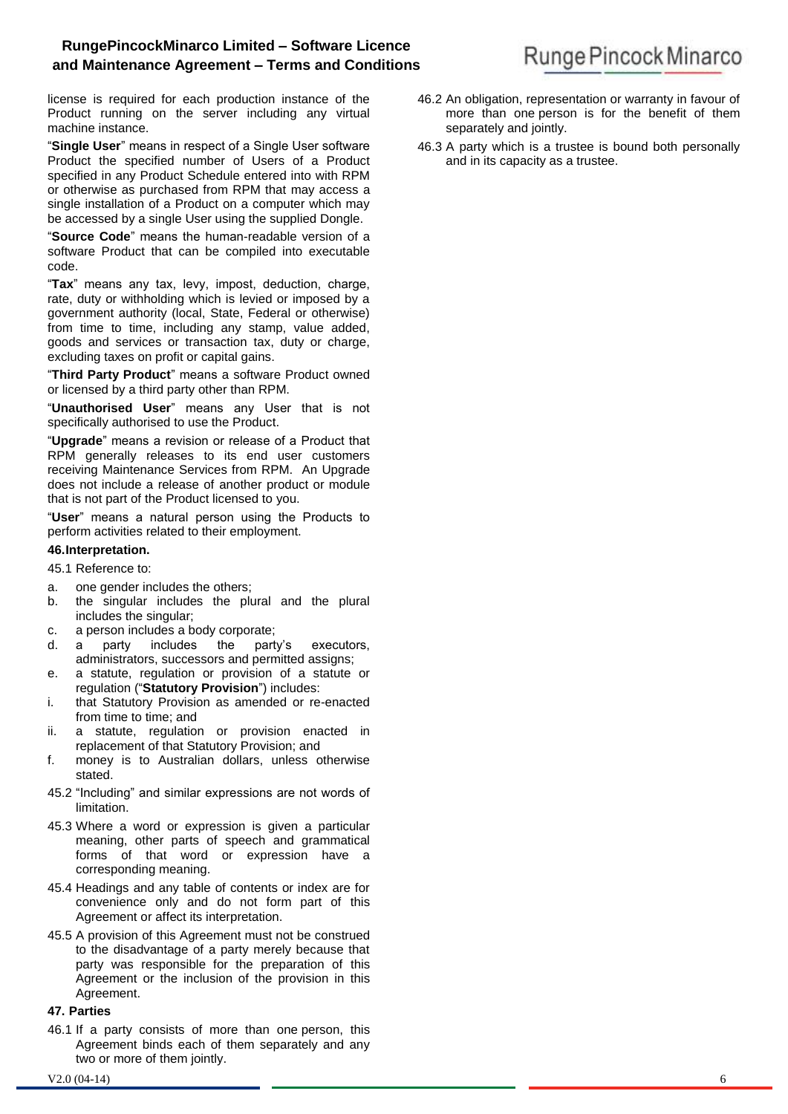license is required for each production instance of the Product running on the server including any virtual machine instance.

"**Single User**" means in respect of a Single User software Product the specified number of Users of a Product specified in any Product Schedule entered into with RPM or otherwise as purchased from RPM that may access a single installation of a Product on a computer which may be accessed by a single User using the supplied Dongle.

"**Source Code**" means the human-readable version of a software Product that can be compiled into executable code.

"**Tax**" means any tax, levy, impost, deduction, charge, rate, duty or withholding which is levied or imposed by a government authority (local, State, Federal or otherwise) from time to time, including any stamp, value added, goods and services or transaction tax, duty or charge, excluding taxes on profit or capital gains.

"**Third Party Product**" means a software Product owned or licensed by a third party other than RPM.

"**Unauthorised User**" means any User that is not specifically authorised to use the Product.

"**Upgrade**" means a revision or release of a Product that RPM generally releases to its end user customers receiving Maintenance Services from RPM. An Upgrade does not include a release of another product or module that is not part of the Product licensed to you.

"**User**" means a natural person using the Products to perform activities related to their employment.

#### **46.Interpretation.**

45.1 Reference to:

- a. one gender includes the others;
- b. the singular includes the plural and the plural includes the singular;
- c. a person includes a body corporate;
- d. a party includes the party's executors, administrators, successors and permitted assigns;
- e. a statute, regulation or provision of a statute or regulation ("**Statutory Provision**") includes:
- i. that Statutory Provision as amended or re-enacted from time to time; and
- ii. a statute, regulation or provision enacted in replacement of that Statutory Provision; and
- f. money is to Australian dollars, unless otherwise stated.
- 45.2 "Including" and similar expressions are not words of limitation.
- 45.3 Where a word or expression is given a particular meaning, other parts of speech and grammatical forms of that word or expression have a corresponding meaning.
- 45.4 Headings and any table of contents or index are for convenience only and do not form part of this Agreement or affect its interpretation.
- 45.5 A provision of this Agreement must not be construed to the disadvantage of a party merely because that party was responsible for the preparation of this Agreement or the inclusion of the provision in this Agreement.

#### <span id="page-5-0"></span>**47. Parties**

46.1 If a party consists of more than one person, this Agreement binds each of them separately and any two or more of them jointly.

- 46.2 An obligation, representation or warranty in favour of more than one person is for the benefit of them separately and jointly.
- 46.3 A party which is a trustee is bound both personally and in its capacity as a trustee.

# Runge Pincock Minarco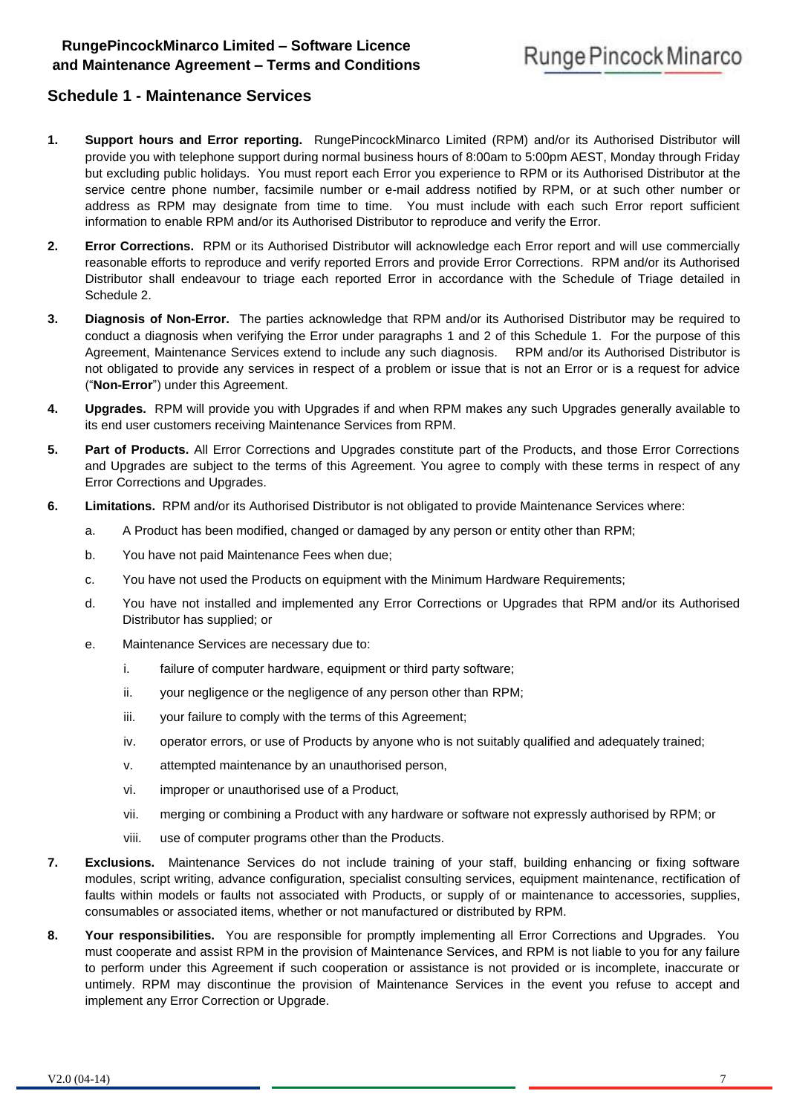## **Schedule 1 - Maintenance Services**

- <span id="page-6-0"></span>**1. Support hours and Error reporting.** RungePincockMinarco Limited (RPM) and/or its Authorised Distributor will provide you with telephone support during normal business hours of 8:00am to 5:00pm AEST, Monday through Friday but excluding public holidays. You must report each Error you experience to RPM or its Authorised Distributor at the service centre phone number, facsimile number or e-mail address notified by RPM, or at such other number or address as RPM may designate from time to time. You must include with each such Error report sufficient information to enable RPM and/or its Authorised Distributor to reproduce and verify the Error.
- <span id="page-6-1"></span>**2. Error Corrections.** RPM or its Authorised Distributor will acknowledge each Error report and will use commercially reasonable efforts to reproduce and verify reported Errors and provide Error Corrections. RPM and/or its Authorised Distributor shall endeavour to triage each reported Error in accordance with the Schedule of Triage detailed in Schedule 2.
- **3. Diagnosis of Non-Error.** The parties acknowledge that RPM and/or its Authorised Distributor may be required to conduct a diagnosis when verifying the Error under paragraphs [1](#page-6-0) and [2](#page-6-1) of this Schedule 1. For the purpose of this Agreement, Maintenance Services extend to include any such diagnosis. RPM and/or its Authorised Distributor is not obligated to provide any services in respect of a problem or issue that is not an Error or is a request for advice ("**Non-Error**") under this Agreement.
- **4. Upgrades.** RPM will provide you with Upgrades if and when RPM makes any such Upgrades generally available to its end user customers receiving Maintenance Services from RPM.
- **5. Part of Products.** All Error Corrections and Upgrades constitute part of the Products, and those Error Corrections and Upgrades are subject to the terms of this Agreement. You agree to comply with these terms in respect of any Error Corrections and Upgrades.
- **6. Limitations.** RPM and/or its Authorised Distributor is not obligated to provide Maintenance Services where:
	- a. A Product has been modified, changed or damaged by any person or entity other than RPM;
	- b. You have not paid Maintenance Fees when due;
	- c. You have not used the Products on equipment with the Minimum Hardware Requirements;
	- d. You have not installed and implemented any Error Corrections or Upgrades that RPM and/or its Authorised Distributor has supplied; or
	- e. Maintenance Services are necessary due to:
		- i. failure of computer hardware, equipment or third party software;
		- ii. your negligence or the negligence of any person other than RPM;
		- iii. your failure to comply with the terms of this Agreement;
		- iv. operator errors, or use of Products by anyone who is not suitably qualified and adequately trained;
		- v. attempted maintenance by an unauthorised person,
		- vi. improper or unauthorised use of a Product,
		- vii. merging or combining a Product with any hardware or software not expressly authorised by RPM; or
		- viii. use of computer programs other than the Products.
- **7. Exclusions.** Maintenance Services do not include training of your staff, building enhancing or fixing software modules, script writing, advance configuration, specialist consulting services, equipment maintenance, rectification of faults within models or faults not associated with Products, or supply of or maintenance to accessories, supplies, consumables or associated items, whether or not manufactured or distributed by RPM.
- **8. Your responsibilities.** You are responsible for promptly implementing all Error Corrections and Upgrades. You must cooperate and assist RPM in the provision of Maintenance Services, and RPM is not liable to you for any failure to perform under this Agreement if such cooperation or assistance is not provided or is incomplete, inaccurate or untimely. RPM may discontinue the provision of Maintenance Services in the event you refuse to accept and implement any Error Correction or Upgrade.